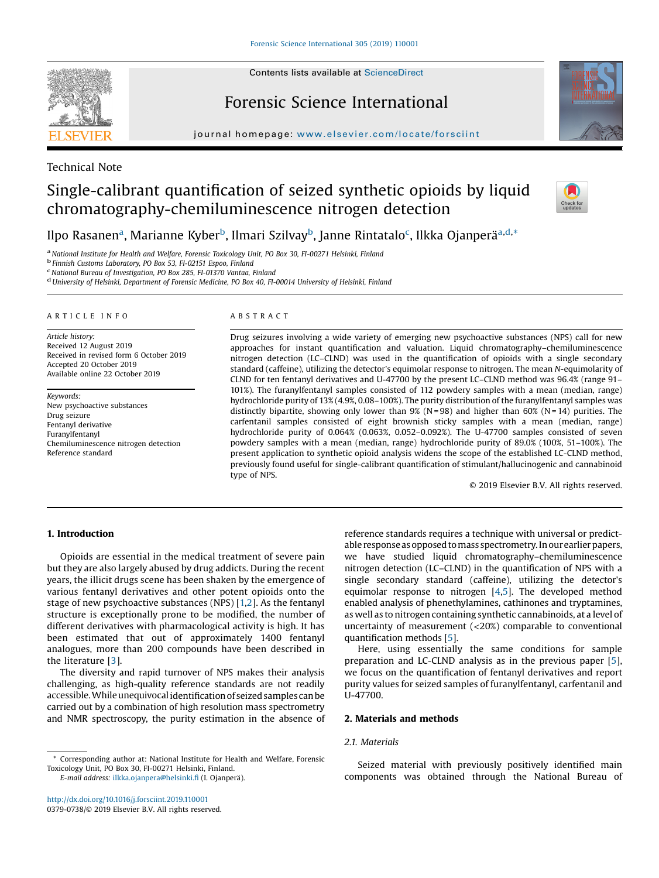# Forensic Science International

journal homepage: <www.elsevier.com/locate/forsciint>





## Technical Note

# Single-calibrant quantification of seized synthetic opioids by liquid chromatography-chemiluminescence nitrogen detection



## Ilpo Rasanen<sup>a</sup>, Marianne Kyber<sup>b</sup>, Ilmari Szilvay<sup>b</sup>, Janne Rintatalo<sup>c</sup>, Ilkka Ojanperä<sup>a,d,</sup>\*

<sup>a</sup> National Institute for Health and Welfare, Forensic Toxicology Unit, PO Box 30, FI-00271 Helsinki, Finland<br><sup>b</sup> Finnish Customs Laboratory, PO Box 53, FI-02151 Espoo, Finland<br><sup>c</sup> National Bureau of Investigation, PO Bo

<sup>d</sup> University of Helsinki, Department of Forensic Medicine, PO Box 40, FI-00014 University of Helsinki, Finland

#### A R T I C L E I N F O

Article history: Received 12 August 2019 Received in revised form 6 October 2019 Accepted 20 October 2019 Available online 22 October 2019

Keywords: New psychoactive substances Drug seizure Fentanyl derivative Furanylfentanyl Chemiluminescence nitrogen detection Reference standard

#### A B S T R A C T

Drug seizures involving a wide variety of emerging new psychoactive substances (NPS) call for new approaches for instant quantification and valuation. Liquid chromatography–chemiluminescence nitrogen detection (LC–CLND) was used in the quantification of opioids with a single secondary standard (caffeine), utilizing the detector's equimolar response to nitrogen. The mean N-equimolarity of CLND for ten fentanyl derivatives and U-47700 by the present LC–CLND method was 96.4% (range 91– 101%). The furanylfentanyl samples consisted of 112 powdery samples with a mean (median, range) hydrochloride purity of 13% (4.9%, 0.08–100%). The purity distribution of the furanylfentanyl samples was distinctly bipartite, showing only lower than  $9\%$  (N = 98) and higher than  $60\%$  (N = 14) purities. The carfentanil samples consisted of eight brownish sticky samples with a mean (median, range) hydrochloride purity of 0.064% (0.063%, 0.052–0.092%). The U-47700 samples consisted of seven powdery samples with a mean (median, range) hydrochloride purity of 89.0% (100%, 51–100%). The present application to synthetic opioid analysis widens the scope of the established LC-CLND method, previously found useful for single-calibrant quantification of stimulant/hallucinogenic and cannabinoid type of NPS.

© 2019 Elsevier B.V. All rights reserved.

### 1. Introduction

Opioids are essential in the medical treatment of severe pain but they are also largely abused by drug addicts. During the recent years, the illicit drugs scene has been shaken by the emergence of various fentanyl derivatives and other potent opioids onto the stage of new psychoactive substances (NPS) [[1,2](#page-2-0)]. As the fentanyl structure is exceptionally prone to be modified, the number of different derivatives with pharmacological activity is high. It has been estimated that out of approximately 1400 fentanyl analogues, more than 200 compounds have been described in the literature [\[3](#page-2-0)].

The diversity and rapid turnover of NPS makes their analysis challenging, as high-quality reference standards are not readily accessible. While unequivocal identification of seized samples can be carried out by a combination of high resolution mass spectrometry and NMR spectroscopy, the purity estimation in the absence of reference standards requires a technique with universal or predictable response as opposed to mass spectrometry. In our earlier papers, we have studied liquid chromatography–chemiluminescence nitrogen detection (LC–CLND) in the quantification of NPS with a single secondary standard (caffeine), utilizing the detector's equimolar response to nitrogen [[4,5](#page-2-0)]. The developed method enabled analysis of phenethylamines, cathinones and tryptamines, as well as to nitrogen containing synthetic cannabinoids, at a level of uncertainty of measurement (<20%) comparable to conventional quantification methods [[5](#page-2-0)].

Here, using essentially the same conditions for sample preparation and LC-CLND analysis as in the previous paper [[5](#page-2-0)], we focus on the quantification of fentanyl derivatives and report purity values for seized samples of furanylfentanyl, carfentanil and U-47700.

#### 2. Materials and methods

#### 2.1. Materials

E-mail address: [ilkka.ojanpera@helsinki.](mailto:ilkka.ojanpera@helsinki.fi)fi (I. Ojanperä).

Seized material with previously positively identified main components was obtained through the National Bureau of

Corresponding author at: National Institute for Health and Welfare, Forensic Toxicology Unit, PO Box 30, FI-00271 Helsinki, Finland.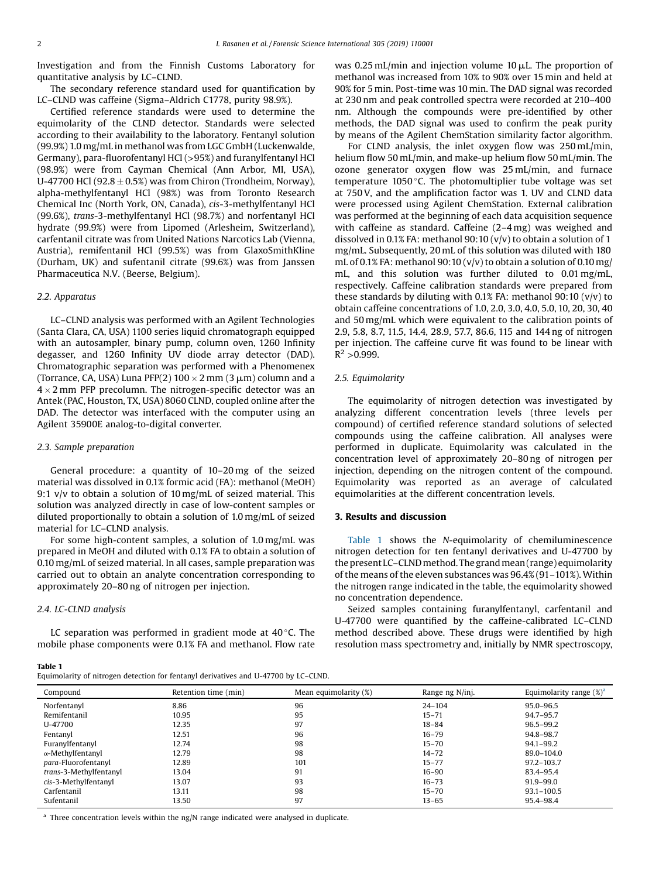Investigation and from the Finnish Customs Laboratory for quantitative analysis by LC–CLND.

The secondary reference standard used for quantification by LC–CLND was caffeine (Sigma–Aldrich C1778, purity 98.9%).

Certified reference standards were used to determine the equimolarity of the CLND detector. Standards were selected according to their availability to the laboratory. Fentanyl solution (99.9%) 1.0 mg/mL in methanol was from LGC GmbH (Luckenwalde, Germany), para-fluorofentanyl HCl (>95%) and furanylfentanyl HCl (98.9%) were from Cayman Chemical (Ann Arbor, MI, USA), U-47700 HCl (92.8  $\pm$  0.5%) was from Chiron (Trondheim, Norway), alpha-methylfentanyl HCl (98%) was from Toronto Research Chemical Inc (North York, ON, Canada), cis-3-methylfentanyl HCl (99.6%), trans-3-methylfentanyl HCl (98.7%) and norfentanyl HCl hydrate (99.9%) were from Lipomed (Arlesheim, Switzerland), carfentanil citrate was from United Nations Narcotics Lab (Vienna, Austria), remifentanil HCl (99.5%) was from GlaxoSmithKline (Durham, UK) and sufentanil citrate (99.6%) was from Janssen Pharmaceutica N.V. (Beerse, Belgium).

#### 2.2. Apparatus

LC–CLND analysis was performed with an Agilent Technologies (Santa Clara, CA, USA) 1100 series liquid chromatograph equipped with an autosampler, binary pump, column oven, 1260 Infinity degasser, and 1260 Infinity UV diode array detector (DAD). Chromatographic separation was performed with a Phenomenex (Torrance, CA, USA) Luna PFP(2)  $100 \times 2$  mm (3  $\mu$ m) column and a  $4 \times 2$  mm PFP precolumn. The nitrogen-specific detector was an Antek (PAC, Houston, TX, USA) 8060 CLND, coupled online after the DAD. The detector was interfaced with the computer using an Agilent 35900E analog-to-digital converter.

#### 2.3. Sample preparation

General procedure: a quantity of 10–20 mg of the seized material was dissolved in 0.1% formic acid (FA): methanol (MeOH) 9:1 v/v to obtain a solution of 10 mg/mL of seized material. This solution was analyzed directly in case of low-content samples or diluted proportionally to obtain a solution of 1.0 mg/mL of seized material for LC–CLND analysis.

For some high-content samples, a solution of 1.0 mg/mL was prepared in MeOH and diluted with 0.1% FA to obtain a solution of 0.10 mg/mL of seized material. In all cases, sample preparation was carried out to obtain an analyte concentration corresponding to approximately 20–80 ng of nitrogen per injection.

#### 2.4. LC-CLND analysis

Table 1

LC separation was performed in gradient mode at  $40^{\circ}$ C. The mobile phase components were 0.1% FA and methanol. Flow rate was 0.25 mL/min and injection volume  $10 \mu$ L. The proportion of methanol was increased from 10% to 90% over 15 min and held at 90% for 5 min. Post-time was 10 min. The DAD signal was recorded at 230 nm and peak controlled spectra were recorded at 210–400 nm. Although the compounds were pre-identified by other methods, the DAD signal was used to confirm the peak purity by means of the Agilent ChemStation similarity factor algorithm.

For CLND analysis, the inlet oxygen flow was 250 mL/min, helium flow 50 mL/min, and make-up helium flow 50 mL/min. The ozone generator oxygen flow was 25 mL/min, and furnace temperature 1050 $\degree$ C. The photomultiplier tube voltage was set at 750 V, and the amplification factor was 1. UV and CLND data were processed using Agilent ChemStation. External calibration was performed at the beginning of each data acquisition sequence with caffeine as standard. Caffeine (2–4 mg) was weighed and dissolved in 0.1% FA: methanol 90:10  $(v/v)$  to obtain a solution of 1 mg/mL. Subsequently, 20 mL of this solution was diluted with 180 mL of 0.1% FA: methanol 90:10 (v/v) to obtain a solution of 0.10 mg/ mL, and this solution was further diluted to 0.01 mg/mL, respectively. Caffeine calibration standards were prepared from these standards by diluting with 0.1% FA: methanol  $90:10$  (v/v) to obtain caffeine concentrations of 1.0, 2.0, 3.0, 4.0, 5.0, 10, 20, 30, 40 and 50 mg/mL which were equivalent to the calibration points of 2.9, 5.8, 8.7, 11.5, 14.4, 28.9, 57.7, 86.6, 115 and 144 ng of nitrogen per injection. The caffeine curve fit was found to be linear with  $R^2 > 0.999$ .

#### 2.5. Equimolarity

The equimolarity of nitrogen detection was investigated by analyzing different concentration levels (three levels per compound) of certified reference standard solutions of selected compounds using the caffeine calibration. All analyses were performed in duplicate. Equimolarity was calculated in the concentration level of approximately 20–80 ng of nitrogen per injection, depending on the nitrogen content of the compound. Equimolarity was reported as an average of calculated equimolarities at the different concentration levels.

#### 3. Results and discussion

Table 1 shows the N-equimolarity of chemiluminescence nitrogen detection for ten fentanyl derivatives and U-47700 by the present LC–CLND method. The grand mean (range) equimolarity of the means of the eleven substances was 96.4% (91–101%). Within the nitrogen range indicated in the table, the equimolarity showed no concentration dependence.

Seized samples containing furanylfentanyl, carfentanil and U-47700 were quantified by the caffeine-calibrated LC–CLND method described above. These drugs were identified by high resolution mass spectrometry and, initially by NMR spectroscopy,

Equimolarity of nitrogen detection for fentanyl derivatives and U-47700 by LC–CLND.

| Compound                 | Retention time (min) | Mean equimolarity (%) | Range ng N/inj. | Equimolarity range $(\%)^d$ |
|--------------------------|----------------------|-----------------------|-----------------|-----------------------------|
| Norfentanyl              | 8.86                 | 96                    | $24 - 104$      | $95.0 - 96.5$               |
| Remifentanil             | 10.95                | 95                    | $15 - 71$       | 94.7-95.7                   |
| U-47700                  | 12.35                | 97                    | $18 - 84$       | 96.5-99.2                   |
| Fentanyl                 | 12.51                | 96                    | $16 - 79$       | 94.8-98.7                   |
| Furanylfentanyl          | 12.74                | 98                    | $15 - 70$       | 94.1-99.2                   |
| $\alpha$ -Methylfentanyl | 12.79                | 98                    | $14 - 72$       | 89.0-104.0                  |
| para-Fluorofentanyl      | 12.89                | 101                   | $15 - 77$       | $97.2 - 103.7$              |
| trans-3-Methylfentanyl   | 13.04                | 91                    | $16 - 90$       | 83.4-95.4                   |
| cis-3-Methylfentanyl     | 13.07                | 93                    | $16 - 73$       | 91.9-99.0                   |
| Carfentanil              | 13.11                | 98                    | $15 - 70$       | $93.1 - 100.5$              |
| Sufentanil               | 13.50                | 97                    | $13 - 65$       | 95.4-98.4                   |

<sup>a</sup> Three concentration levels within the ng/N range indicated were analysed in duplicate.